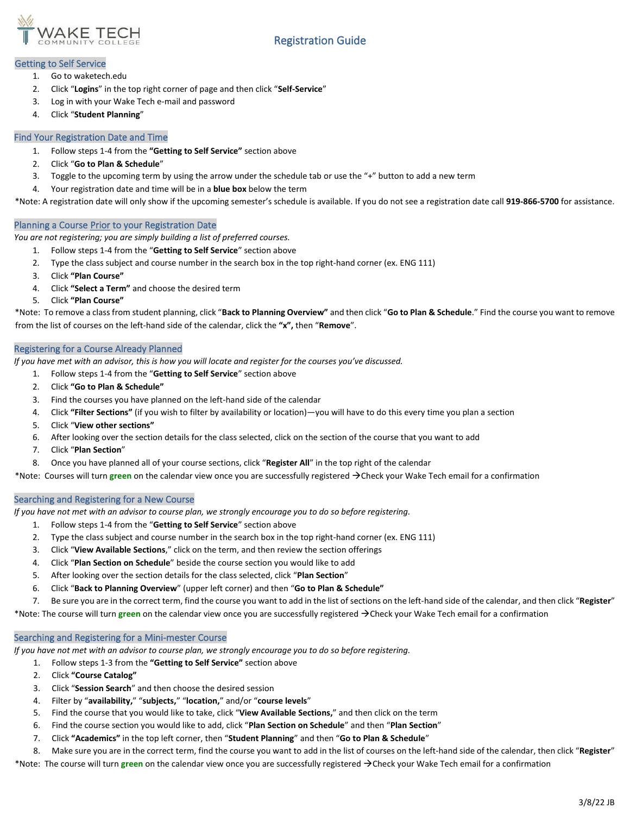

# Registration Guide

### Getting to Self Service

- 1. Go to waketech.edu
- 2. Click "**Logins**" in the top right corner of page and then click "**Self-Service**"
- 3. Log in with your Wake Tech e-mail and password
- 4. Click "**Student Planning**"

### Find Your Registration Date and Time

- 1. Follow steps 1-4 from the **"Getting to Self Service"** section above
- 2. Click "**Go to Plan & Schedule**"
- 3. Toggle to the upcoming term by using the arrow under the schedule tab or use the "+" button to add a new term
- 4. Your registration date and time will be in a **blue box** below the term

\*Note: A registration date will only show if the upcoming semester's schedule is available. If you do not see a registration date call **919-866-5700** for assistance.

#### Planning a Course Prior to your Registration Date

*You are not registering; you are simply building a list of preferred courses.*

- 1. Follow steps 1-4 from the "**Getting to Self Service**" section above
- 2. Type the class subject and course number in the search box in the top right-hand corner (ex. ENG 111)
- 3. Click **"Plan Course"**
- 4. Click **"Select a Term"** and choose the desired term
- 5. Click **"Plan Course"**

\*Note: To remove a class from student planning, click "**Back to Planning Overview"** and then click "**Go to Plan & Schedule**." Find the course you want to remove from the list of courses on the left-hand side of the calendar, click the **"x",** then "**Remove**".

#### Registering for a Course Already Planned

*If you have met with an advisor, this is how you will locate and register for the courses you've discussed.*

- 1. Follow steps 1-4 from the "**Getting to Self Service**" section above
- 2. Click **"Go to Plan & Schedule"**
- 3. Find the courses you have planned on the left-hand side of the calendar
- 4. Click **"Filter Sections"** (if you wish to filter by availability or location)—you will have to do this every time you plan a section
- 5. Click "**View other sections"**
- 6. After looking over the section details for the class selected, click on the section of the course that you want to add
- 7. Click "**Plan Section**"
- 8. Once you have planned all of your course sections, click "**Register All**" in the top right of the calendar

\*Note: Courses will turn **green** on the calendar view once you are successfully registered →Check your Wake Tech email for a confirmation

## Searching and Registering for a New Course

*If you have not met with an advisor to course plan, we strongly encourage you to do so before registering.*

- 1. Follow steps 1-4 from the "**Getting to Self Service**" section above
- 2. Type the class subject and course number in the search box in the top right-hand corner (ex. ENG 111)
- 3. Click "**View Available Sections**," click on the term, and then review the section offerings
- 4. Click "**Plan Section on Schedule**" beside the course section you would like to add
- 5. After looking over the section details for the class selected, click "**Plan Section**"
- 6. Click "**Back to Planning Overview**" (upper left corner) and then "**Go to Plan & Schedule"**
- 7. Be sure you are in the correct term, find the course you want to add in the list of sections on the left-hand side of the calendar, and then click "**Register**"

\*Note: The course will turn **green** on the calendar view once you are successfully registered →Check your Wake Tech email for a confirmation

## Searching and Registering for a Mini-mester Course

*If you have not met with an advisor to course plan, we strongly encourage you to do so before registering.*

- 1. Follow steps 1-3 from the **"Getting to Self Service"** section above
- 2. Click **"Course Catalog"**
- 3. Click "**Session Search**" and then choose the desired session
- 4. Filter by "**availability,**" "**subjects,**" "**location,**" and/or "**course levels**"
- 5. Find the course that you would like to take, click "**View Available Sections,**" and then click on the term
- 6. Find the course section you would like to add, click "**Plan Section on Schedule**" and then "**Plan Section**"
- 7. Click **"Academics"** in the top left corner, then "**Student Planning**" and then "**Go to Plan & Schedule**"
- 8. Make sure you are in the correct term, find the course you want to add in the list of courses on the left-hand side of the calendar, then click "**Register**"
- \*Note: The course will turn **green** on the calendar view once you are successfully registered →Check your Wake Tech email for a confirmation